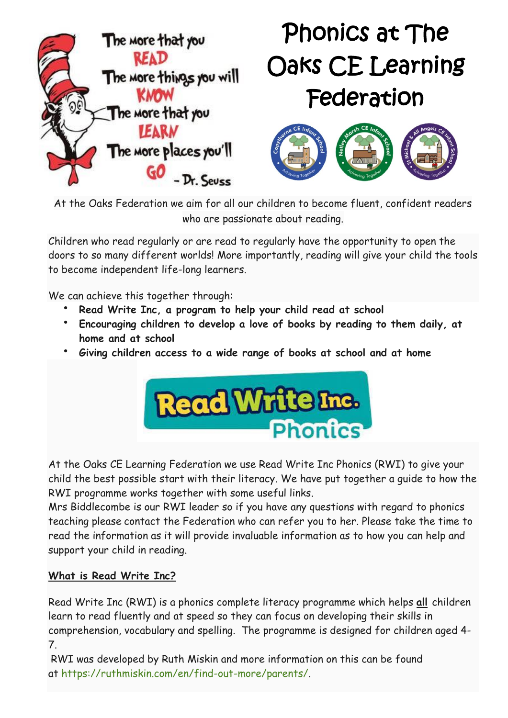

# Phonics at The Oaks CE Learning Federation



At the Oaks Federation we aim for all our children to become fluent, confident readers who are passionate about reading.

Children who read regularly or are read to regularly have the opportunity to open the doors to so many different worlds! More importantly, reading will give your child the tools to become independent life-long learners.

We can achieve this together through:

- **Read Write Inc, a program to help your child read at school**
- **Encouraging children to develop a love of books by reading to them daily, at home and at school**
- **Giving children access to a wide range of books at school and at home**



At the Oaks CE Learning Federation we use Read Write Inc Phonics (RWI) to give your child the best possible start with their literacy. We have put together a guide to how the RWI programme works together with some useful links.

Mrs Biddlecombe is our RWI leader so if you have any questions with regard to phonics teaching please contact the Federation who can refer you to her. Please take the time to read the information as it will provide invaluable information as to how you can help and support your child in reading.

## **What is Read Write Inc?**

Read Write Inc (RWI) is a phonics complete literacy programme which helps **all** children learn to read fluently and at speed so they can focus on developing their skills in comprehension, vocabulary and spelling. The programme is designed for children aged 4- 7.

RWI was developed by Ruth Miskin and more information on this can be found at [https://ruthmiskin.com/en/find-out-more/parents/.](https://ruthmiskin.com/en/find-out-more/parents/)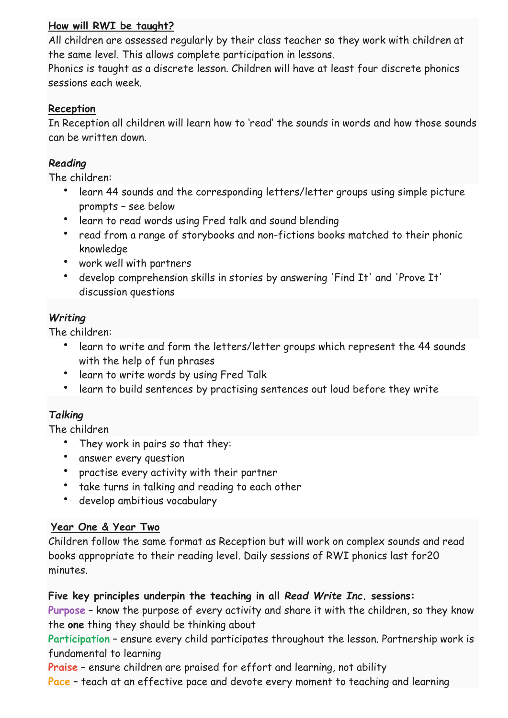## **How will RWI be taught?**

All children are assessed regularly by their class teacher so they work with children at the same level. This allows complete participation in lessons.

Phonics is taught as a discrete lesson. Children will have at least four discrete phonics sessions each week.

## **Reception**

In Reception all children will learn how to 'read' the sounds in words and how those sounds can be written down.

## *Reading*

The children:

- learn 44 sounds and the corresponding letters/letter groups using simple picture prompts – see below
- learn to read words using Fred talk and sound blending
- read from a range of storybooks and non-fictions books matched to their phonic knowledge
- work well with partners
- develop comprehension skills in stories by answering 'Find It' and 'Prove It' discussion questions

# *Writing*

The children:

- learn to write and form the letters/letter groups which represent the 44 sounds with the help of fun phrases
- learn to write words by using Fred Talk
- learn to build sentences by practising sentences out loud before they write

# *Talking*

The children

- They work in pairs so that they:
- answer every question
- practise every activity with their partner
- take turns in talking and reading to each other
- develop ambitious vocabulary

## **Year One & Year Two**

Children follow the same format as Reception but will work on complex sounds and read books appropriate to their reading level. Daily sessions of RWI phonics last for20 minutes.

## **Five key principles underpin the teaching in all** *Read Write Inc***. sessions:**

**Purpose** – know the purpose of every activity and share it with the children, so they know the **one** thing they should be thinking about

**Participation** – ensure every child participates throughout the lesson. Partnership work is fundamental to learning

**Praise** – ensure children are praised for effort and learning, not ability

**Pace** – teach at an effective pace and devote every moment to teaching and learning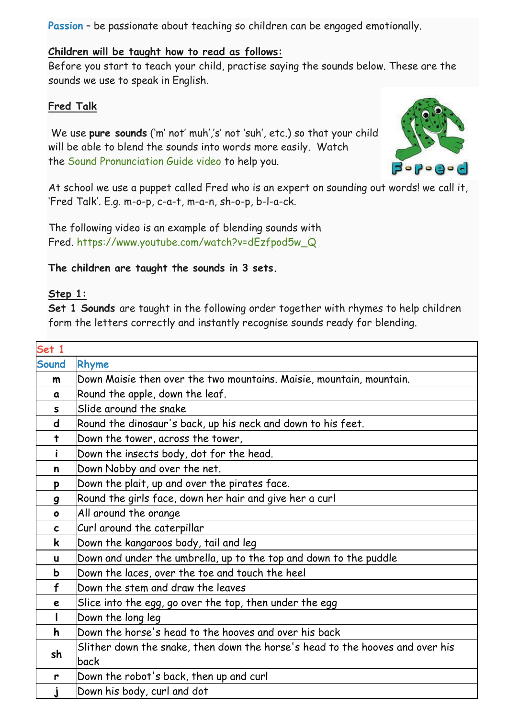**Passion** – be passionate about teaching so children can be engaged emotionally.

#### **Children will be taught how to read as follows:**

Before you start to teach your child, practise saying the sounds below. These are the sounds we use to speak in English.

#### **Fred Talk**

We use **pure sounds** ('m' not' muh','s' not 'suh', etc.) so that your child will be able to blend the sounds into words more easily. Watch the Sound [Pronunciation](https://www.oxfordowl.co.uk/for-home/reading-owl/find-a-book/read-write-inc-phonics--1/phonics-pure-sounds-video) Guide video to help you.



At school we use a puppet called Fred who is an expert on sounding out words! we call it, 'Fred Talk'. E.g. m-o-p, c-a-t, m-a-n, sh-o-p, b-l-a-ck.

The following video is an example of blending sounds with Fred. [https://www.youtube.com/watch?v=dEzfpod5w\\_Q](https://www.youtube.com/watch?v=dEzfpod5w_Q)

**The children are taught the sounds in 3 sets.**

#### **Step 1:**

**Set 1 Sounds** are taught in the following order together with rhymes to help children form the letters correctly and instantly recognise sounds ready for blending.

| Set 1        |                                                                                       |  |  |  |
|--------------|---------------------------------------------------------------------------------------|--|--|--|
| Sound        | Rhyme                                                                                 |  |  |  |
| $\mathsf{m}$ | Down Maisie then over the two mountains. Maisie, mountain, mountain.                  |  |  |  |
| a            | Round the apple, down the leaf.                                                       |  |  |  |
| S            | Slide around the snake                                                                |  |  |  |
| $\mathsf{d}$ | Round the dinosaur's back, up his neck and down to his feet.                          |  |  |  |
| $\ddagger$   | Down the tower, across the tower,                                                     |  |  |  |
| i            | Down the insects body, dot for the head.                                              |  |  |  |
| n            | Down Nobby and over the net.                                                          |  |  |  |
| p            | Down the plait, up and over the pirates face.                                         |  |  |  |
| 9            | Round the girls face, down her hair and give her a curl                               |  |  |  |
| $\bullet$    | All around the orange                                                                 |  |  |  |
| $\mathbf c$  | Curl around the caterpillar                                                           |  |  |  |
| $\mathbf k$  | Down the kangaroos body, tail and leg                                                 |  |  |  |
| u            | Down and under the umbrella, up to the top and down to the puddle                     |  |  |  |
| b            | Down the laces, over the toe and touch the heel                                       |  |  |  |
| f            | Down the stem and draw the leaves                                                     |  |  |  |
| e            | Slice into the egg, go over the top, then under the egg                               |  |  |  |
|              | Down the long leg                                                                     |  |  |  |
| h            | Down the horse's head to the hooves and over his back                                 |  |  |  |
| sh           | Slither down the snake, then down the horse's head to the hooves and over his<br>back |  |  |  |
| r            | Down the robot's back, then up and curl                                               |  |  |  |
|              | Down his body, curl and dot                                                           |  |  |  |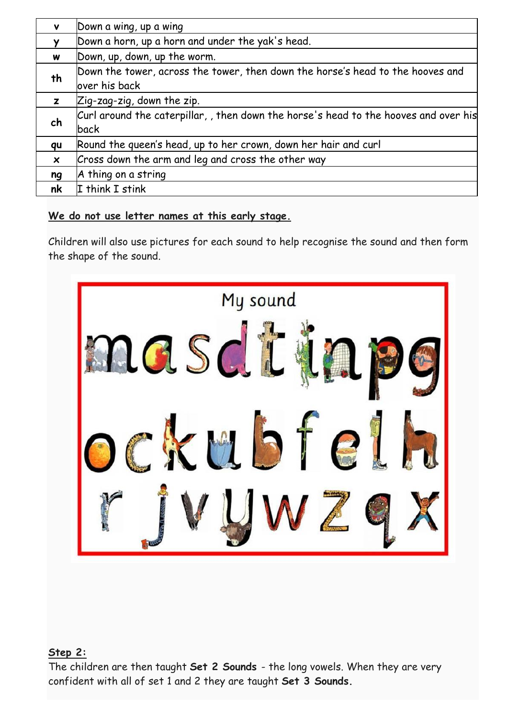| v                         | Down a wing, up a wing                                                               |
|---------------------------|--------------------------------------------------------------------------------------|
|                           | Down a horn, up a horn and under the yak's head.                                     |
| W                         | Down, up, down, up the worm.                                                         |
| th                        | Down the tower, across the tower, then down the horse's head to the hooves and       |
|                           | over his back                                                                        |
| z                         | $Z$ ig-zag-zig, down the zip.                                                        |
| ch                        | Curl around the caterpillar, , then down the horse's head to the hooves and over his |
|                           | back                                                                                 |
| qu                        | Round the queen's head, up to her crown, down her hair and curl                      |
| $\boldsymbol{\mathsf{x}}$ | Cross down the arm and leg and cross the other way                                   |
| ng                        | A thing on a string                                                                  |
| nk                        | I think I stink                                                                      |

#### **We do not use letter names at this early stage.**

Children will also use pictures for each sound to help recognise the sound and then form the shape of the sound.



#### **Step 2:**

The children are then taught **Set 2 Sounds** - the long vowels. When they are very confident with all of set 1 and 2 they are taught **Set 3 Sounds.**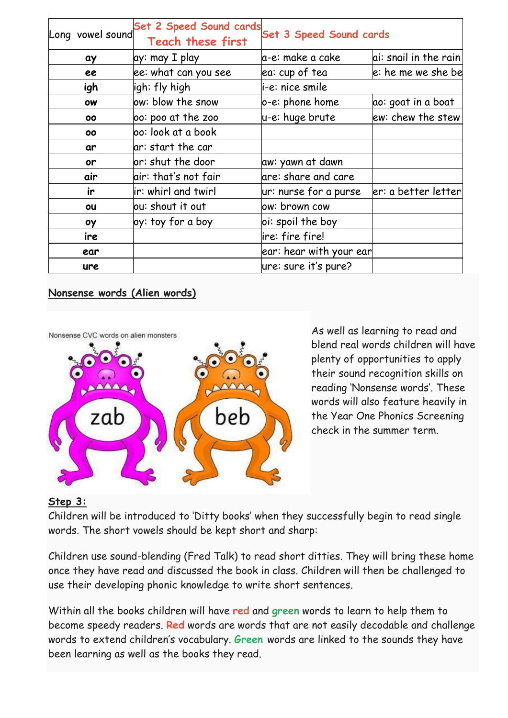| Long vowel sound | Set 2 Speed Sound cards<br><b>Teach these first</b> | Set 3 Speed Sound cards |                       |
|------------------|-----------------------------------------------------|-------------------------|-----------------------|
| ay               | ay: may I play                                      | a-e: make a cake        | ai: snail in the rain |
| ee               | ee: what can you see                                | ea: cup of tea          | e: he me we she be    |
| igh              | ligh: fly high                                      | i-e: nice smile         |                       |
| ow               | ow: blow the snow                                   | o-e: phone home         | ao: goat in a boat    |
| 00               | 00: poo at the zoo                                  | u-e: huge brute         | ew: chew the stew     |
| 00               | oo: look at a book                                  |                         |                       |
| ar               | ar: start the car                                   |                         |                       |
| or               | or: shut the door                                   | aw: yawn at dawn        |                       |
| air              | air: that's not fair                                | are: share and care     |                       |
| ir               | ir: whirl and twirl                                 | ur: nurse for a purse   | er: a better letter   |
| ou               | ou: shout it out                                    | ow: brown cow           |                       |
| оу               | oy: toy for a boy                                   | oi: spoil the boy       |                       |
| ire              |                                                     | lire: fire fire!        |                       |
| ear              |                                                     | ear: hear with your ear |                       |
| ure              |                                                     | ure: sure it's pure?    |                       |

#### **Nonsense words (Alien words)**



As well as learning to read and blend real words children will have plenty of opportunities to apply their sound recognition skills on reading 'Nonsense words'. These words will also feature heavily in the Year One Phonics Screening check in the summer term.

#### **Step 3:**

Children will be introduced to 'Ditty books' when they successfully begin to read single words. The short vowels should be kept short and sharp:

Children use sound-blending (Fred Talk) to read short ditties. They will bring these home once they have read and discussed the book in class. Children will then be challenged to use their developing phonic knowledge to write short sentences.

Within all the books children will have **red** and **green** words to learn to help them to become speedy readers. **Red** words are words that are not easily decodable and challenge words to extend children's vocabulary. **Green** words are linked to the sounds they have been learning as well as the books they read.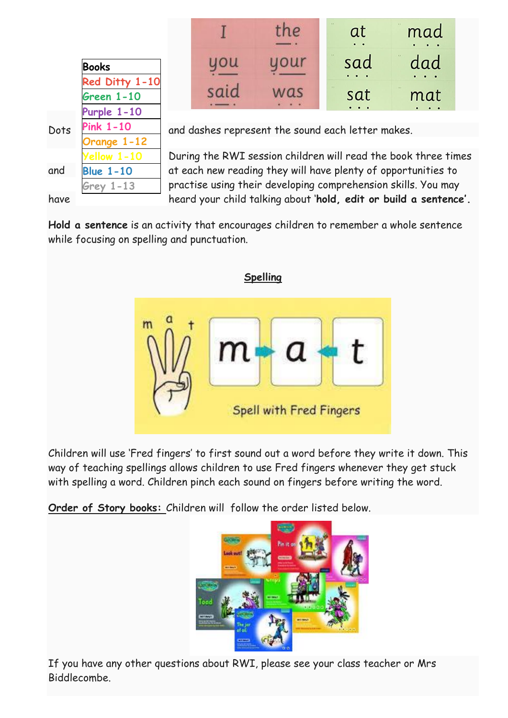|      | <b>Books</b>       |   |
|------|--------------------|---|
|      | Red Ditty 1-10     |   |
|      | <b>Green 1-10</b>  |   |
|      | <b>Purple 1-10</b> |   |
| Dots | Pink 1-10          | Ć |
|      | <b>Orange 1-12</b> |   |
|      | Yellow 1-10        |   |
| and  | <b>Blue 1-10</b>   | Ć |
|      | <b>Grey 1-13</b>   | r |
|      |                    |   |

|     | 1.8<br>at<br>$\ddot{\phantom{a}}$ | $1.8^\circ$<br>mad        |
|-----|-----------------------------------|---------------------------|
|     | 11<br>sad<br>.                    | $1.1$<br>dad<br>$\bullet$ |
| 10s | X, Y<br>sat                       | 1.5<br>mat<br>$\bullet$   |

and dashes represent the sound each letter makes.

During the RWI session children will read the book three times at each new reading they will have plenty of opportunities to practise using their developing comprehension skills. You may have heard your child talking about '**hold, edit or build a sentence'.**

**Hold a sentence** is an activity that encourages children to remember a whole sentence while focusing on spelling and punctuation.



Children will use 'Fred fingers' to first sound out a word before they write it down. This way of teaching spellings allows children to use Fred fingers whenever they get stuck with spelling a word. Children pinch each sound on fingers before writing the word.

**Order of Story books:** Children will follow the order listed below.



If you have any other questions about RWI, please see your class teacher or Mrs Biddlecombe.